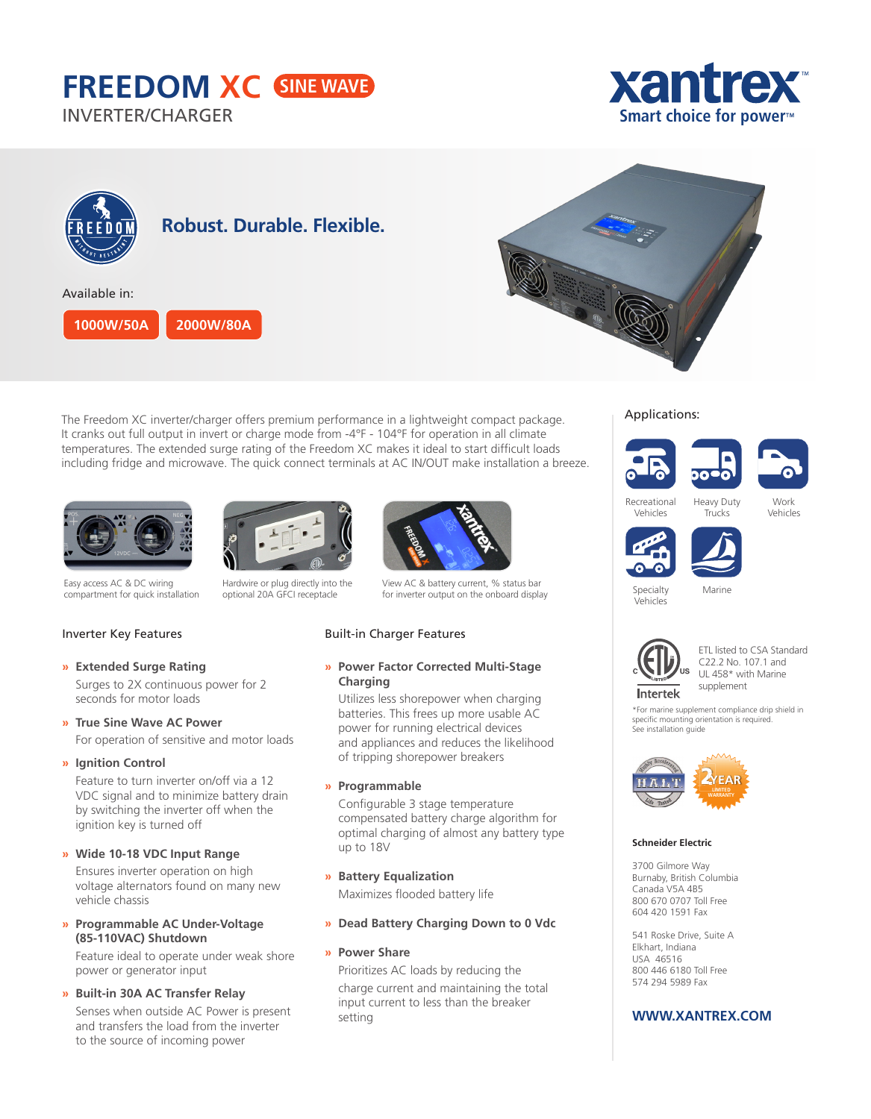# **FREEDOM XC**

INVERTER/CHARGER





The Freedom XC inverter/charger offers premium performance in a lightweight compact package. It cranks out full output in invert or charge mode from -4°F - 104°F for operation in all climate temperatures. The extended surge rating of the Freedom XC makes it ideal to start difficult loads including fridge and microwave. The quick connect terminals at AC IN/OUT make installation a breeze.





Easy access AC & DC wiring compartment for quick installation





View AC & battery current, % status bar for inverter output on the onboard display

## Built-in Charger Features

# **» Power Factor Corrected Multi-Stage Charging**

Utilizes less shorepower when charging batteries. This frees up more usable AC power for running electrical devices and appliances and reduces the likelihood of tripping shorepower breakers

**» Programmable**

Configurable 3 stage temperature compensated battery charge algorithm for optimal charging of almost any battery type up to 18V

- **» Battery Equalization** Maximizes flooded battery life
- **» Dead Battery Charging Down to 0 Vdc**
- **» Power Share**

Prioritizes AC loads by reducing the charge current and maintaining the total input current to less than the breaker setting

# Applications:





Recreational Vehicles



Work Vehicles



Specialty Vehicles Marine



ETL listed to CSA Standard C22.2 No. 107.1 and UL 458\* with Marine supplement

\*For marine supplement compliance drip shield in specific mounting orientation is required. See installation guide



#### **Schneider Electric**

3700 Gilmore Way Burnaby, British Columbia Canada V5A 4B5 800 670 0707 Toll Free 604 420 1591 Fax

541 Roske Drive, Suite A Elkhart, Indiana USA 46516 800 446 6180 Toll Free 574 294 5989 Fax

# **WWW.XANTREX.COM**

# Inverter Key Features

**» Extended Surge Rating**



For operation of sensitive and motor loads

## **» Ignition Control**

Feature to turn inverter on/off via a 12 VDC signal and to minimize battery drain by switching the inverter off when the ignition key is turned off

**» Wide 10-18 VDC Input Range**

Ensures inverter operation on high voltage alternators found on many new vehicle chassis

**» Programmable AC Under-Voltage (85-110VAC) Shutdown**

Feature ideal to operate under weak shore power or generator input

# **» Built-in 30A AC Transfer Relay**

Senses when outside AC Power is present and transfers the load from the inverter to the source of incoming power